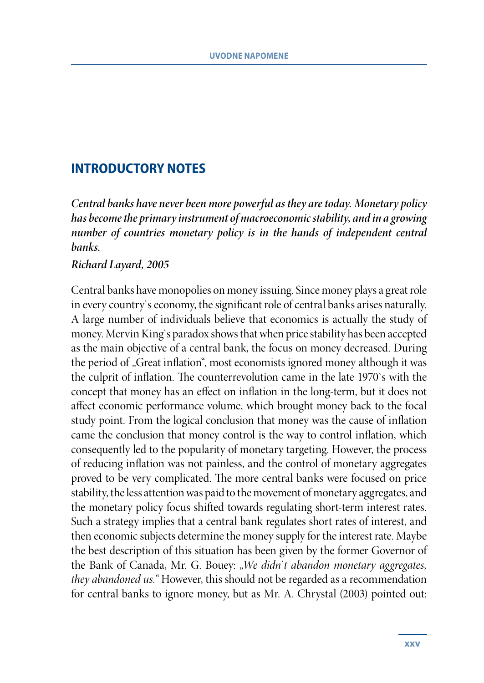## **INTRODUCTORY NOTES**

*Central banks have never been more powerful as they are today. Monetary policy has become the primary instrument of macroeconomic stability, and in a growing number of countries monetary policy is in the hands of independent central banks.* 

## *Richard Layard, 2005*

Central banks have monopolies on money issuing. Since money plays a great role in every country`s economy, the significant role of central banks arises naturally. A large number of individuals believe that economics is actually the study of money. Mervin King`s paradox shows that when price stability has been accepted as the main objective of a central bank, the focus on money decreased. During the period of "Great inflation", most economists ignored money although it was the culprit of inflation. The counterrevolution came in the late 1970`s with the concept that money has an effect on inflation in the long-term, but it does not affect economic performance volume, which brought money back to the focal study point. From the logical conclusion that money was the cause of inflation came the conclusion that money control is the way to control inflation, which consequently led to the popularity of monetary targeting. However, the process of reducing inflation was not painless, and the control of monetary aggregates proved to be very complicated. The more central banks were focused on price stability, the less attention was paid to the movement of monetary aggregates, and the monetary policy focus shifted towards regulating short-term interest rates. Such a strategy implies that a central bank regulates short rates of interest, and then economic subjects determine the money supply for the interest rate. Maybe the best description of this situation has been given by the former Governor of the Bank of Canada, Mr. G. Bouey: *"We didn`t abandon monetary aggregates, they abandoned us."* However, this should not be regarded as a recommendation for central banks to ignore money, but as Mr. A. Chrystal (2003) pointed out: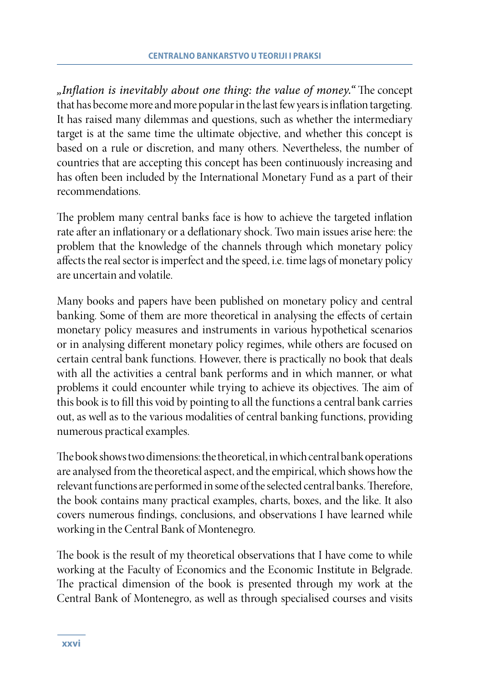*"Inflation is inevitably about one thing: the value of money."* The concept that has become more and more popular in the last few years is inflation targeting. It has raised many dilemmas and questions, such as whether the intermediary target is at the same time the ultimate objective, and whether this concept is based on a rule or discretion, and many others. Nevertheless, the number of countries that are accepting this concept has been continuously increasing and has often been included by the International Monetary Fund as a part of their recommendations.

The problem many central banks face is how to achieve the targeted inflation rate after an inflationary or a deflationary shock. Two main issues arise here: the problem that the knowledge of the channels through which monetary policy affects the real sector is imperfect and the speed, i.e. time lags of monetary policy are uncertain and volatile.

Many books and papers have been published on monetary policy and central banking. Some of them are more theoretical in analysing the effects of certain monetary policy measures and instruments in various hypothetical scenarios or in analysing different monetary policy regimes, while others are focused on certain central bank functions. However, there is practically no book that deals with all the activities a central bank performs and in which manner, or what problems it could encounter while trying to achieve its objectives. The aim of this book is to fill this void by pointing to all the functions a central bank carries out, as well as to the various modalities of central banking functions, providing numerous practical examples.

The book shows two dimensions: the theoretical, in which central bank operations are analysed from the theoretical aspect, and the empirical, which shows how the relevant functions are performed in some of the selected central banks. Therefore, the book contains many practical examples, charts, boxes, and the like. It also covers numerous findings, conclusions, and observations I have learned while working in the Central Bank of Montenegro.

The book is the result of my theoretical observations that I have come to while working at the Faculty of Economics and the Economic Institute in Belgrade. The practical dimension of the book is presented through my work at the Central Bank of Montenegro, as well as through specialised courses and visits